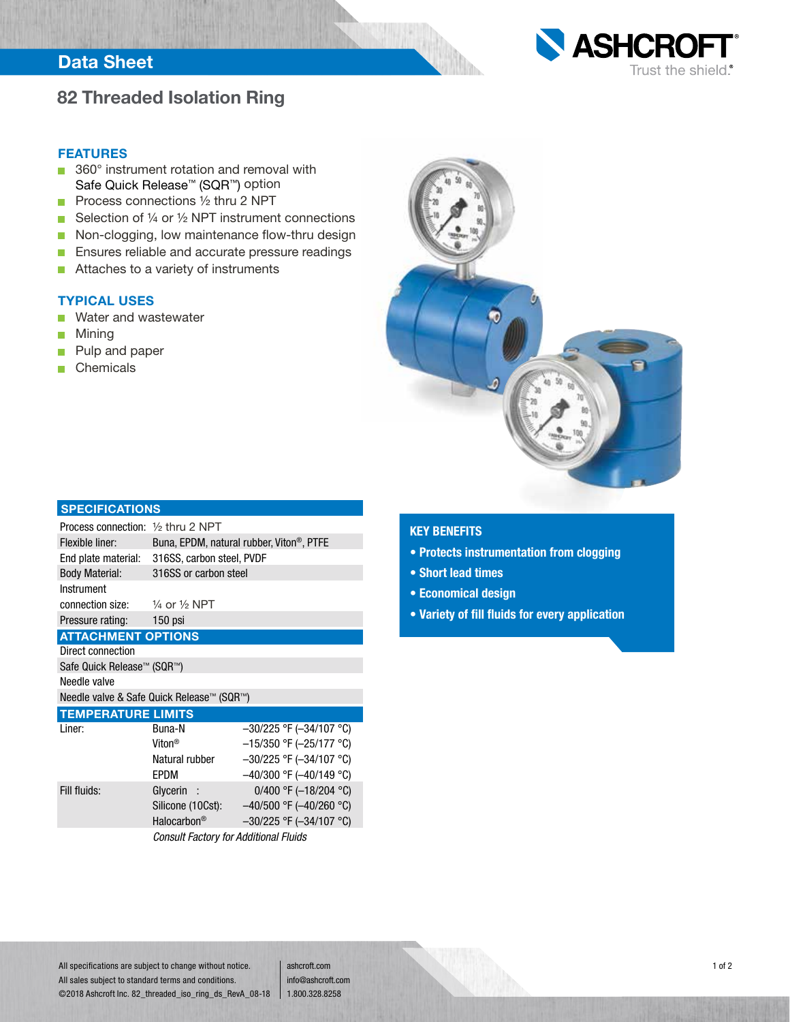## **Data Sheet**



### **82 Threaded Isolation Ring**

#### **FEATURES**

- 360° instrument rotation and removal with Safe Quick Release™ (SQR™) option
- **Process connections**  $\frac{1}{2}$  **thru 2 NPT**
- Selection of  $\frac{1}{4}$  or  $\frac{1}{2}$  NPT instrument connections
- Non-clogging, low maintenance flow-thru design
- **Ensures reliable and accurate pressure readings**
- Attaches to a variety of instruments  $\overline{\phantom{a}}$

### **TYPICAL USES**

- Water and wastewater Ē.
- Mining  $\blacksquare$
- Pulp and paper n
- **Chemicals**



#### **SPECIFICATIONS**

| Process connection: $\frac{1}{2}$ thru 2 NPT        |                                                       |                              |  |  |  |  |
|-----------------------------------------------------|-------------------------------------------------------|------------------------------|--|--|--|--|
| Flexible liner:                                     | Buna, EPDM, natural rubber, Viton <sup>®</sup> , PTFE |                              |  |  |  |  |
| End plate material:                                 | 316SS, carbon steel, PVDF                             |                              |  |  |  |  |
| <b>Body Material:</b>                               | 316SS or carbon steel                                 |                              |  |  |  |  |
| Instrument                                          |                                                       |                              |  |  |  |  |
| connection size: $\frac{1}{4}$ or $\frac{1}{2}$ NPT |                                                       |                              |  |  |  |  |
| Pressure rating: 150 psi                            |                                                       |                              |  |  |  |  |
| <b>ATTACHMENT OPTIONS</b>                           |                                                       |                              |  |  |  |  |
| Direct connection                                   |                                                       |                              |  |  |  |  |
| Safe Quick Release™ (SQR™)                          |                                                       |                              |  |  |  |  |
| Needle valve                                        |                                                       |                              |  |  |  |  |
| Needle valve & Safe Quick Release™ (SQR™)           |                                                       |                              |  |  |  |  |
| <b>TEMPERATURE LIMITS</b>                           |                                                       |                              |  |  |  |  |
| Liner:                                              | Buna-N                                                | $-30/225$ °F ( $-34/107$ °C) |  |  |  |  |
|                                                     | Viton®                                                | $-15/350$ °F (-25/177 °C)    |  |  |  |  |

|              | Viton <sup>®</sup>                           | $-15/350$ °F (-25/177 °C)    |  |  |
|--------------|----------------------------------------------|------------------------------|--|--|
|              | Natural rubber                               | $-30/225$ °F ( $-34/107$ °C) |  |  |
|              | EPDM                                         | $-40/300$ °F ( $-40/149$ °C) |  |  |
| Fill fluids: | Glycerin :                                   | 0/400 °F ( $-18/204$ °C)     |  |  |
|              | Silicone (10Cst):                            | $-40/500$ °F ( $-40/260$ °C) |  |  |
|              | Halocarbon <sup>®</sup>                      | $-30/225$ °F ( $-34/107$ °C) |  |  |
|              | <b>Consult Factory for Additional Fluids</b> |                              |  |  |

#### **KEY BENEFITS**

- **Protects instrumentation from clogging**
- **Short lead times**
- **Economical design**
- **Variety of fill fluids for every application**